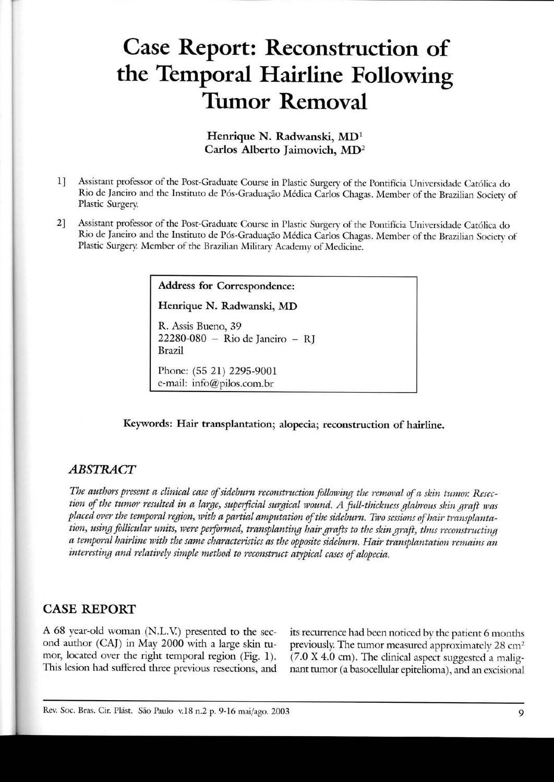# **Case Report: Reconstruction of the Temporal Hairline Following Tumor Removal**

# Henrique N. Radwanski, MDl Carlos Alberto Jaimovich, MD2

- 1] Assistam professor of the Post-Graduate Course in Plastic Surgery of the Pontifícia Universidade Católica do Rio de Janeiro and the Instituto de Pós-Graduação Médica Carlos Chagas. Member of the Brazilian Society of Plastic Surgery
- 2] Assistant professor of the Post-Graduate Course in Plastic Surgery of the Pontifícia Universidade Católica do Rio de Janeiro and the Instituto de Pós-Graduação Médica Carlos Chagas. Member of the Brazilian Sociery of Plastic Surgery Member of the Brazilian Military Academy of Medicine.

Address for Correspondence:

Henrique N. Radwanski, MD

R. Assis Bueno, 39 22280-080 - Rio de Janeiro - RJ Brazil

Phone: (55 21) 2295-9001 e-mail: info@pilos.com.br

Keywords: Hair transplantation; alopecia; reconstruction of hairline.

#### *ABSTRACT*

*The authors present a clinicai case of sideburn reconstruction following the removal of a skin tumor. Resec*tion of the tumor resulted in a large, superficial surgical wound. A full-thickness glabrous skin graft was *placed over the temporal region) with a partial amputation of the sideburn. Two sessionsof hair transplantation, using follicular units, were perfbrmed, transplanting hair grafts to the skin graft) thus reconstructing a temporal hairline with the same characteristics as the oppositesideburn. Hair transplantation remains an* interesting and relatively simple method to reconstruct atypical cases of alopecia.

## CASE **REPORT**

A 68 year-old woman (N.L.V) presented to the second author (CAJ) in May 2000 with a large skin tumor, located over the right temporal region (Fig. 1). This lesion had suffered three previous resections, and

its recurrence had been noticed by the patient 6 months previously. The tumor measured approximately 28 cm<sup>2</sup> (7.0 X 4.0 cm). The clinical aspect suggested a malignant tumor (a basocellular epitelioma), and an excisional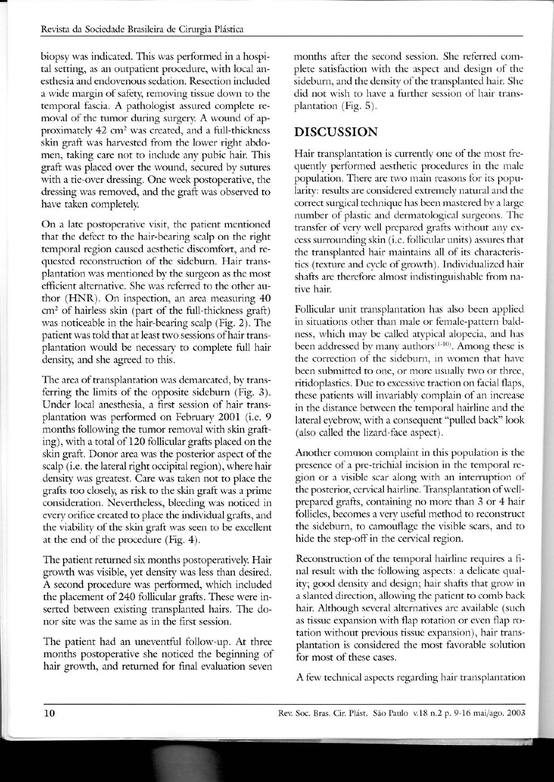biopsy was indicated. This was performed in a hospital setting, as an outpatient procedure, with local anesthesia and endovenous sedation. Resection included a wide margin of safety, removing tissue down to the temporal fascia. A pathologist assured complete removal of the tumor during surgery. A wound of approximately  $42 \text{ cm}^2$  was created, and a full-thickness skin graft was harvested from the lower right abdomen, taking care not to include any pubic hair. This graft was placed over the wound, secured by sutures with a tie-over dressing. One week postoperative, the dressing was removed, and the graft was observed to have taken completely

On a late postoperative visit, the patient mentioned that the defect to the hair-bearing scalp on the right temporal region caused aesthetic discomfort, and reguested reconstruction of the sideburn. Hair transplantation was mentioned by the surgeon as the most efficiem alternative. She was referred to the other author (HNR). On inspection, an area measuring 40 em? of hairless skin (part of the full-thickness graft) was noticeable in the hair-bearing scalp (Fig. 2). The patient was told that at least two sessions of hair transplantation would be necessary to complete full hair density, and she agreed to this.

The area of transplantation was demarcated, by transferring the limits of the opposite sideburn (Fig. 3). Under local anesthesia, a first session of hair transplantation was performed on February 2001 (i.e. 9 months foliowing the tumor removal with skin grafting), with a total of 120 follicular grafts placed on the skin graft. Donor area was the posterior aspect of the scalp (i.e. the lateral right occipital region), where hair density was greatest. Care was taken not to place the grafts toa closely, as risk to the skin graft was a prime consideration. Nevertheless, bleeding was noticed in every orifice created to place the individual grafts, and the viability of the skin graft was seen to be excellent at the end of the procedure (Fig. 4).

The patient returned six months postoperatively. Hair growth was visible, yet density was less than desired. A second procedure was performed, which included the placemem of 240 follicular grafts. These were inserted between existing transplanted hairs. The donor site was the same as in the first session.

The patient had an uneventful foliow-up. At three months postoperative she noticed the beginning of hair growth, and returned for final evaluation seven

months after the second session. She referred complete satisfaction with the aspect and design of the sideburn, and the density of the transplanted hair. She did not wish to have a further session of hair transplantation (Fig. 5).

# **DISCUSSION**

Hair transplantation is currently one of the most freguently performed aesthetic procedures in the male population. There are two main reasons for its popularity: results are considered extremely natural and the correct surgical technigue has been mastered by a large number of plastic and dermatological surgeons. The transfer of very weli prepared grafts without any excess surrounding skin (i.e. follicular units) assures that the transplanted hair maintains ali of its characteristics (texture and cycle of growth). lndividualized hair shafts are therefore almost indistinguishable from native hair.

Follicular unit transplantation has also been applied in situations other than male or female-pattern baldness, which may be called atypical alopecia, and has been addressed by many authors $(1-10)$ . Among these is the correction of the sideburn, in women that have been submitted to one, or more usually two or three, ritidoplasties. Due to excessive traction on facial flaps, these patients wili invariably complain of an increase in the distance between the temporal hairline and the lateral eyebrow, with a consequent "pulled back" look (also called the lizard-face aspect).

Another common complaim in this population is the presence of a pre-trichial incision in the temporal region or a visible scar along with an interruption of the posterior, cervical hairline. Transplantation of wellprepared grafts, comaining no more than 3 or 4 hair follicles, becomes a very useful method to reconstruct the sideburn, to camoufiage the visible scars, and to hide the step-off in the cervical region.

Reconstruction of the temporal hairline reguires a final result with the foliowing aspects: a delicate guality; good density and design; hair shafts that grow in a slanted direction, allowing the patient to comb back hair. Although several alternatives are available (such as tissue expansion with flap rotation or even flap rotation without previous tissue expansion), hair transplantation is considered the most favorable solution for most of these cases.

A few technical aspects regarding hair transplantation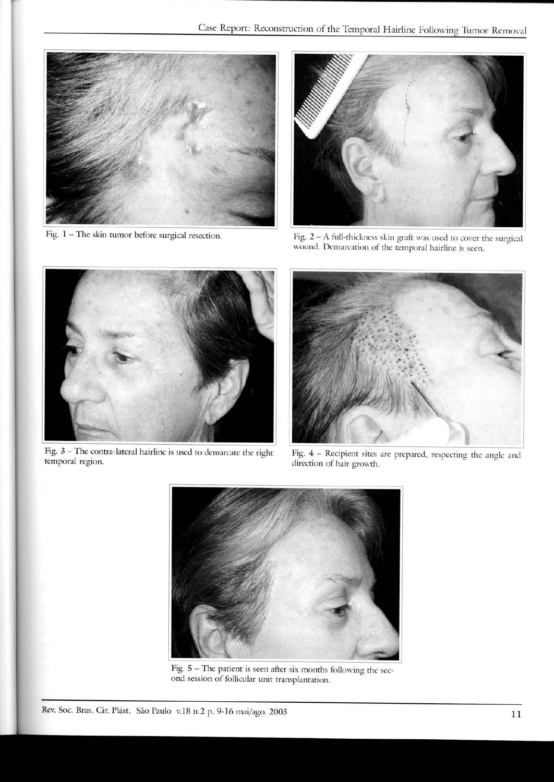

Fig. 1 - The skin tumor before surgical resection.



Fig. 2 - A full-thickness skin graft was used to cover the surgical wound. Demarcation of the temporal hairline is seen.



Fig. 3 - The contra-lateral hairline is used to demarcate the right temporal region.



Fig. 4 - Recipienr sites are prepared, respecting the angle and direction of hair growth.



Fig.  $5 -$  The patient is seen after six months following the second session of follicular unit transplantation.